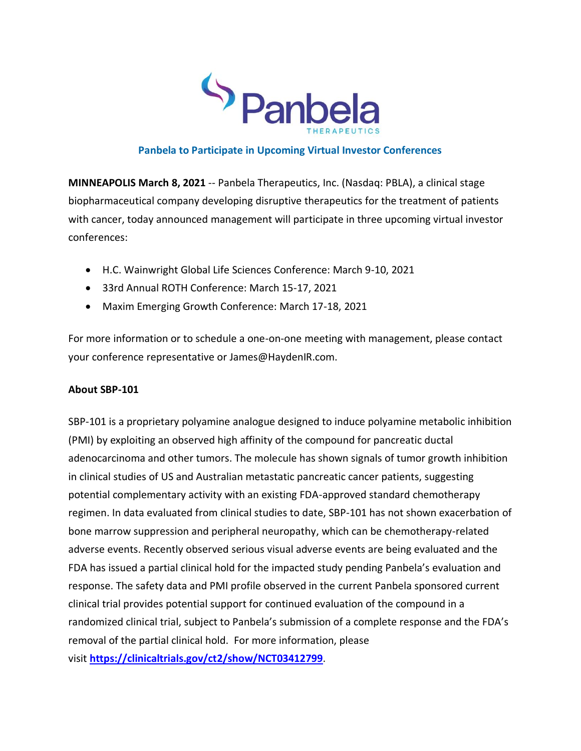

## **Panbela to Participate in Upcoming Virtual Investor Conferences**

**MINNEAPOLIS March 8, 2021** -- Panbela Therapeutics, Inc. (Nasdaq: PBLA), a clinical stage biopharmaceutical company developing disruptive therapeutics for the treatment of patients with cancer, today announced management will participate in three upcoming virtual investor conferences:

- H.C. Wainwright Global Life Sciences Conference: March 9-10, 2021
- 33rd Annual ROTH Conference: March 15-17, 2021
- Maxim Emerging Growth Conference: March 17-18, 2021

For more information or to schedule a one-on-one meeting with management, please contact your conference representative or James@HaydenIR.com.

## **About SBP-101**

SBP-101 is a proprietary polyamine analogue designed to induce polyamine metabolic inhibition (PMI) by exploiting an observed high affinity of the compound for pancreatic ductal adenocarcinoma and other tumors. The molecule has shown signals of tumor growth inhibition in clinical studies of US and Australian metastatic pancreatic cancer patients, suggesting potential complementary activity with an existing FDA-approved standard chemotherapy regimen. In data evaluated from clinical studies to date, SBP-101 has not shown exacerbation of bone marrow suppression and peripheral neuropathy, which can be chemotherapy-related adverse events. Recently observed serious visual adverse events are being evaluated and the FDA has issued a partial clinical hold for the impacted study pending Panbela's evaluation and response. The safety data and PMI profile observed in the current Panbela sponsored current clinical trial provides potential support for continued evaluation of the compound in a randomized clinical trial, subject to Panbela's submission of a complete response and the FDA's removal of the partial clinical hold. For more information, please visit **[https://clinicaltrials.gov/ct2/show/NCT03412799](https://www.globenewswire.com/Tracker?data=P6bnORsSETeyUUCAkzaKJ0Ygy8Md1yADsuJI4lRABR5b_X5dfy2OLYGYxUNzNuWDMxDhCH7UwenoTSowPXxcjFK1vuxqTqBoMucwQ_doQ-t1b3y9vOa119QtDIsnyRySkepwMsDUjIBKlMq7BNLNOSboxSZXznfzznVVlN_-pj0=)**.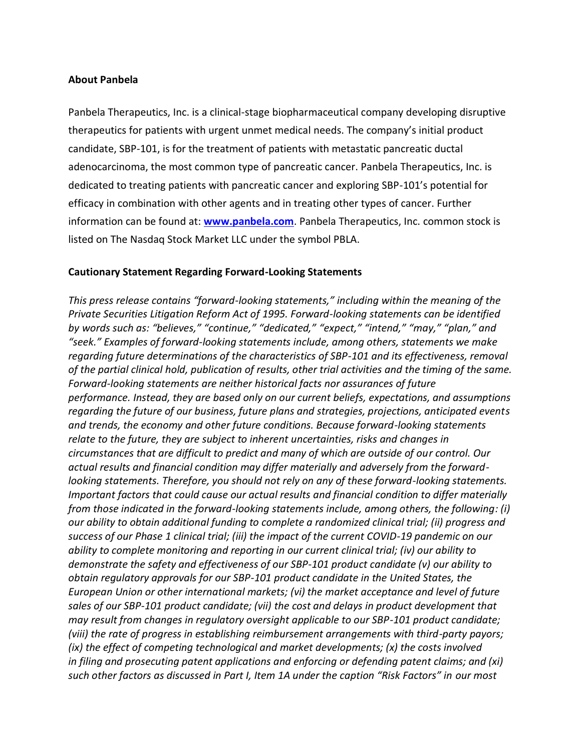## **About Panbela**

Panbela Therapeutics, Inc. is a clinical-stage biopharmaceutical company developing disruptive therapeutics for patients with urgent unmet medical needs. The company's initial product candidate, SBP-101, is for the treatment of patients with metastatic pancreatic ductal adenocarcinoma, the most common type of pancreatic cancer. Panbela Therapeutics, Inc. is dedicated to treating patients with pancreatic cancer and exploring SBP-101's potential for efficacy in combination with other agents and in treating other types of cancer. Further information can be found at: **[www.panbela.com](https://www.globenewswire.com/Tracker?data=_-t5-YjgTO6wStLyyqAwfFfyti6k6iqWRJOYf28bJLFz7zmLc0Q3M4LehcckBWQgnplAifAGxMZjDWw4Mkwv2w==)**. Panbela Therapeutics, Inc. common stock is listed on The Nasdaq Stock Market LLC under the symbol PBLA.

## **Cautionary Statement Regarding Forward-Looking Statements**

*This press release contains "forward-looking statements," including within the meaning of the Private Securities Litigation Reform Act of 1995. Forward-looking statements can be identified by words such as: "believes," "continue," "dedicated," "expect," "intend," "may," "plan," and "seek." Examples of forward-looking statements include, among others, statements we make regarding future determinations of the characteristics of SBP-101 and its effectiveness, removal of the partial clinical hold, publication of results, other trial activities and the timing of the same. Forward-looking statements are neither historical facts nor assurances of future performance. Instead, they are based only on our current beliefs, expectations, and assumptions regarding the future of our business, future plans and strategies, projections, anticipated events and trends, the economy and other future conditions. Because forward-looking statements relate to the future, they are subject to inherent uncertainties, risks and changes in circumstances that are difficult to predict and many of which are outside of our control. Our actual results and financial condition may differ materially and adversely from the forwardlooking statements. Therefore, you should not rely on any of these forward-looking statements. Important factors that could cause our actual results and financial condition to differ materially from those indicated in the forward-looking statements include, among others, the following: (i) our ability to obtain additional funding to complete a randomized clinical trial; (ii) progress and success of our Phase 1 clinical trial; (iii) the impact of the current COVID-19 pandemic on our ability to complete monitoring and reporting in our current clinical trial; (iv) our ability to demonstrate the safety and effectiveness of our SBP-101 product candidate (v) our ability to obtain regulatory approvals for our SBP-101 product candidate in the United States, the European Union or other international markets; (vi) the market acceptance and level of future sales of our SBP-101 product candidate; (vii) the cost and delays in product development that may result from changes in regulatory oversight applicable to our SBP-101 product candidate; (viii) the rate of progress in establishing reimbursement arrangements with third-party payors; (ix) the effect of competing technological and market developments; (x) the costs involved in filing and prosecuting patent applications and enforcing or defending patent claims; and (xi) such other factors as discussed in Part I, Item 1A under the caption "Risk Factors" in our most*